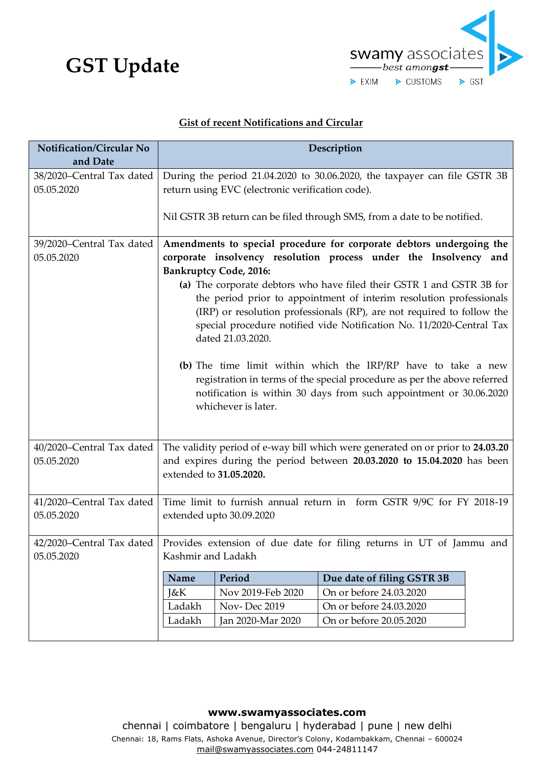## **GST Update**



## **Gist of recent Notifications and Circular**

| and Date<br>38/2020-Central Tax dated<br>During the period 21.04.2020 to 30.06.2020, the taxpayer can file GSTR 3B<br>return using EVC (electronic verification code).<br>05.05.2020<br>Nil GSTR 3B return can be filed through SMS, from a date to be notified.<br>Amendments to special procedure for corporate debtors undergoing the<br>39/2020-Central Tax dated<br>corporate insolvency resolution process under the Insolvency and<br>05.05.2020<br><b>Bankruptcy Code, 2016:</b><br>(a) The corporate debtors who have filed their GSTR 1 and GSTR 3B for<br>the period prior to appointment of interim resolution professionals<br>(IRP) or resolution professionals (RP), are not required to follow the<br>special procedure notified vide Notification No. 11/2020-Central Tax<br>dated 21.03.2020. |
|-----------------------------------------------------------------------------------------------------------------------------------------------------------------------------------------------------------------------------------------------------------------------------------------------------------------------------------------------------------------------------------------------------------------------------------------------------------------------------------------------------------------------------------------------------------------------------------------------------------------------------------------------------------------------------------------------------------------------------------------------------------------------------------------------------------------|
|                                                                                                                                                                                                                                                                                                                                                                                                                                                                                                                                                                                                                                                                                                                                                                                                                 |
|                                                                                                                                                                                                                                                                                                                                                                                                                                                                                                                                                                                                                                                                                                                                                                                                                 |
|                                                                                                                                                                                                                                                                                                                                                                                                                                                                                                                                                                                                                                                                                                                                                                                                                 |
|                                                                                                                                                                                                                                                                                                                                                                                                                                                                                                                                                                                                                                                                                                                                                                                                                 |
|                                                                                                                                                                                                                                                                                                                                                                                                                                                                                                                                                                                                                                                                                                                                                                                                                 |
|                                                                                                                                                                                                                                                                                                                                                                                                                                                                                                                                                                                                                                                                                                                                                                                                                 |
| (b) The time limit within which the IRP/RP have to take a new<br>registration in terms of the special procedure as per the above referred<br>notification is within 30 days from such appointment or 30.06.2020<br>whichever is later.                                                                                                                                                                                                                                                                                                                                                                                                                                                                                                                                                                          |
| The validity period of e-way bill which were generated on or prior to 24.03.20<br>40/2020-Central Tax dated                                                                                                                                                                                                                                                                                                                                                                                                                                                                                                                                                                                                                                                                                                     |
| and expires during the period between 20.03.2020 to 15.04.2020 has been<br>05.05.2020<br>extended to 31.05.2020.                                                                                                                                                                                                                                                                                                                                                                                                                                                                                                                                                                                                                                                                                                |
| 41/2020–Central Tax dated<br>Time limit to furnish annual return in form GSTR 9/9C for FY 2018-19<br>05.05.2020<br>extended upto 30.09.2020                                                                                                                                                                                                                                                                                                                                                                                                                                                                                                                                                                                                                                                                     |
| 42/2020–Central Tax dated   Provides extension of due date for filing returns in UT of Jammu and                                                                                                                                                                                                                                                                                                                                                                                                                                                                                                                                                                                                                                                                                                                |
| Kashmir and Ladakh<br>05.05.2020                                                                                                                                                                                                                                                                                                                                                                                                                                                                                                                                                                                                                                                                                                                                                                                |
| Period<br>Due date of filing GSTR 3B<br>Name                                                                                                                                                                                                                                                                                                                                                                                                                                                                                                                                                                                                                                                                                                                                                                    |
| On or before 24.03.2020<br>J&K<br>Nov 2019-Feb 2020                                                                                                                                                                                                                                                                                                                                                                                                                                                                                                                                                                                                                                                                                                                                                             |
| <b>Nov-Dec 2019</b><br>Ladakh<br>On or before 24.03.2020                                                                                                                                                                                                                                                                                                                                                                                                                                                                                                                                                                                                                                                                                                                                                        |
| On or before 20.05.2020<br>Ladakh<br>Jan 2020-Mar 2020                                                                                                                                                                                                                                                                                                                                                                                                                                                                                                                                                                                                                                                                                                                                                          |

**www.swamyassociates.com**  chennai | coimbatore | bengaluru | hyderabad | pune | new delhi Chennai: 18, Rams Flats, Ashoka Avenue, Director's Colony, Kodambakkam, Chennai – 600024 mail@swamyassociates.com 044-24811147